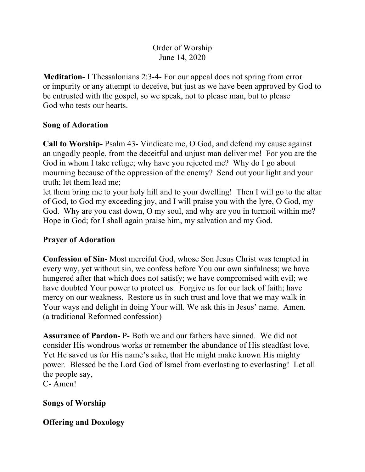# Order of Worship June 14, 2020

**Meditation-** I Thessalonians 2:3-4- For our appeal does not spring from error or impurity or any attempt to deceive, but just as we have been approved by God to be entrusted with the gospel, so we speak, not to please man, but to please God who tests our hearts.

### **Song of Adoration**

**Call to Worship-** Psalm 43- Vindicate me, O God, and defend my cause against an ungodly people, from the deceitful and unjust man deliver me! For you are the God in whom I take refuge; why have you rejected me? Why do I go about mourning because of the oppression of the enemy? Send out your light and your truth; let them lead me;

let them bring me to your holy hill and to your dwelling! Then I will go to the altar of God, to God my exceeding joy, and I will praise you with the lyre, O God, my God. Why are you cast down, O my soul, and why are you in turmoil within me? Hope in God; for I shall again praise him, my salvation and my God.

## **Prayer of Adoration**

**Confession of Sin-** Most merciful God, whose Son Jesus Christ was tempted in every way, yet without sin, we confess before You our own sinfulness; we have hungered after that which does not satisfy; we have compromised with evil; we have doubted Your power to protect us. Forgive us for our lack of faith; have mercy on our weakness. Restore us in such trust and love that we may walk in Your ways and delight in doing Your will. We ask this in Jesus' name. Amen. (a traditional Reformed confession)

**Assurance of Pardon-** P- Both we and our fathers have sinned. We did not consider His wondrous works or remember the abundance of His steadfast love. Yet He saved us for His name's sake, that He might make known His mighty power. Blessed be the Lord God of Israel from everlasting to everlasting! Let all the people say,

C- Amen!

**Songs of Worship**

**Offering and Doxology**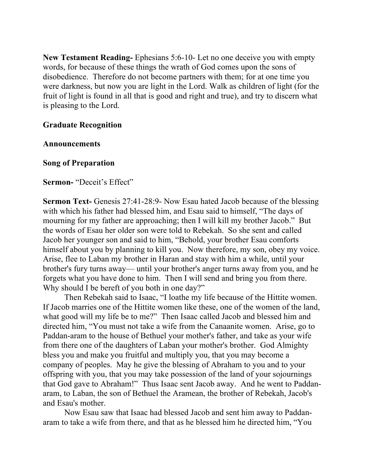**New Testament Reading-** Ephesians 5:6-10- Let no one deceive you with empty words, for because of these things the wrath of God comes upon the sons of disobedience. Therefore do not become partners with them; for at one time you were darkness, but now you are light in the Lord. Walk as children of light (for the fruit of light is found in all that is good and right and true), and try to discern what is pleasing to the Lord.

### **Graduate Recognition**

#### **Announcements**

### **Song of Preparation**

#### **Sermon-** "Deceit's Effect"

**Sermon Text-** Genesis 27:41-28:9- Now Esau hated Jacob because of the blessing with which his father had blessed him, and Esau said to himself, "The days of mourning for my father are approaching; then I will kill my brother Jacob." But the words of Esau her older son were told to Rebekah. So she sent and called Jacob her younger son and said to him, "Behold, your brother Esau comforts himself about you by planning to kill you. Now therefore, my son, obey my voice. Arise, flee to Laban my brother in Haran and stay with him a while, until your brother's fury turns away— until your brother's anger turns away from you, and he forgets what you have done to him. Then I will send and bring you from there. Why should I be bereft of you both in one day?"

Then Rebekah said to Isaac, "I loathe my life because of the Hittite women. If Jacob marries one of the Hittite women like these, one of the women of the land, what good will my life be to me?" Then Isaac called Jacob and blessed him and directed him, "You must not take a wife from the Canaanite women. Arise, go to Paddan-aram to the house of Bethuel your mother's father, and take as your wife from there one of the daughters of Laban your mother's brother. God Almighty bless you and make you fruitful and multiply you, that you may become a company of peoples. May he give the blessing of Abraham to you and to your offspring with you, that you may take possession of the land of your sojournings that God gave to Abraham!" Thus Isaac sent Jacob away. And he went to Paddanaram, to Laban, the son of Bethuel the Aramean, the brother of Rebekah, Jacob's and Esau's mother.

Now Esau saw that Isaac had blessed Jacob and sent him away to Paddanaram to take a wife from there, and that as he blessed him he directed him, "You